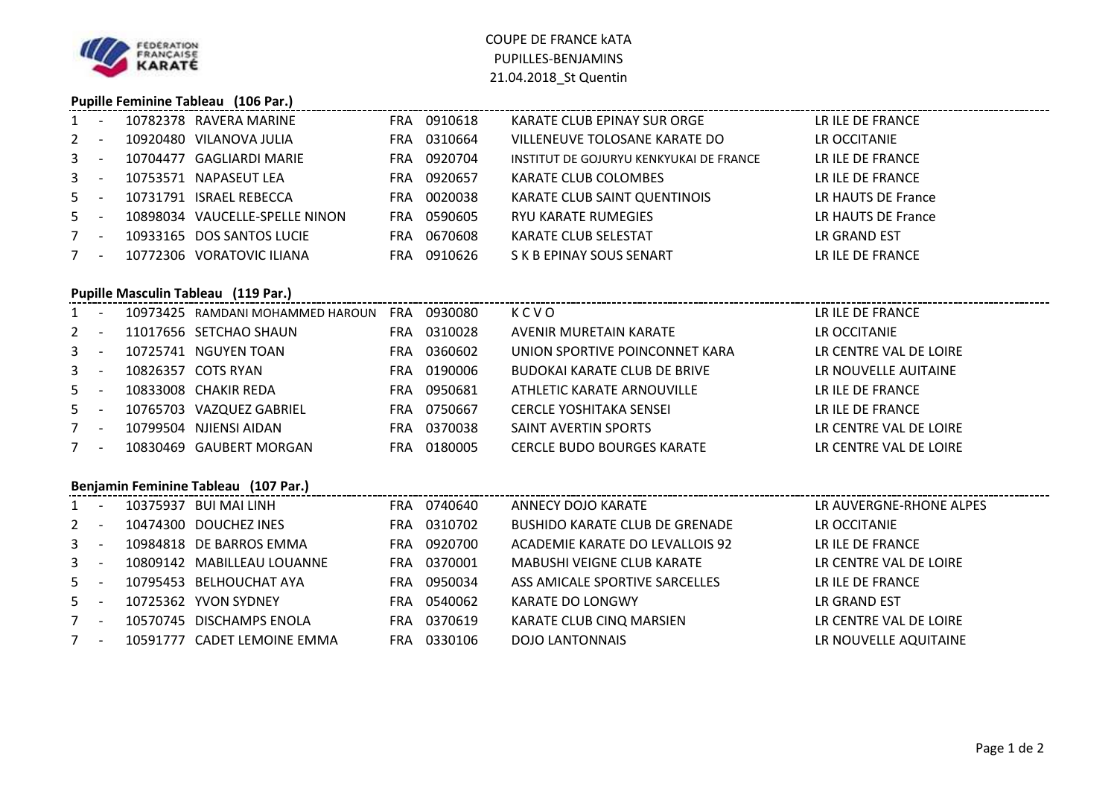

# COUPE DE FRANCE kATA PUPILLES-BENJAMINS21.04.2018\_St Quentin

## **Pupille Feminine Tableau (106 Par.)**

| $1 -$   |                          |          | 10782378 RAVERA MARINE         |      | FRA 0910618 | KARATE CLUB EPINAY SUR ORGE             | LR ILE DE FRANCE   |
|---------|--------------------------|----------|--------------------------------|------|-------------|-----------------------------------------|--------------------|
| $2 -$   |                          |          | 10920480 VILANOVA JULIA        | FRA. | 0310664     | VILLENEUVE TOLOSANE KARATE DO           | LR OCCITANIE       |
| $3 -$   |                          |          | 10704477 GAGLIARDI MARIE       |      | FRA 0920704 | INSTITUT DE GOJURYU KENKYUKAI DE FRANCE | LR ILE DE FRANCE   |
| $3 - 5$ |                          |          | 10753571 NAPASEUT LEA          | FRA. | 0920657     | KARATE CLUB COLOMBES                    | LR ILE DE FRANCE   |
| $5 -$   |                          | 10731791 | ISRAEL REBECCA                 | FRA. | 0020038     | KARATE CLUB SAINT QUENTINOIS            | LR HAUTS DE France |
| $5 -$   |                          |          | 10898034 VAUCELLE-SPELLE NINON | FRA. | 0590605     | RYU KARATE RUMEGIES                     | LR HAUTS DE France |
| $7 -$   |                          |          | 10933165 DOS SANTOS LUCIE      | FRA. | 0670608     | KARATE CLUB SELESTAT                    | LR GRAND EST       |
| 7       | $\overline{\phantom{a}}$ |          | 10772306 VORATOVIC ILIANA      | FRA. | 0910626     | S K B EPINAY SOUS SENART                | LR ILE DE FRANCE   |

#### **Pupille Masculin Tableau (119 Par.)**

| $1 -$   |  | 10973425 RAMDANI MOHAMMED HAROUN | FRA. | 0930080 | KCVO                                | LR ILE DE FRANCE       |
|---------|--|----------------------------------|------|---------|-------------------------------------|------------------------|
| $2 -$   |  | 11017656 SETCHAO SHAUN           | FRA. | 0310028 | AVENIR MURETAIN KARATE              | LR OCCITANIE           |
| $3 - -$ |  | 10725741 NGUYEN TOAN             | FRA. | 0360602 | UNION SPORTIVE POINCONNET KARA      | LR CENTRE VAL DE LOIRE |
| $3 - -$ |  | 10826357 COTS RYAN               | FRA. | 0190006 | <b>BUDOKAI KARATE CLUB DE BRIVE</b> | LR NOUVELLE AUITAINE   |
| $5 -$   |  | 10833008 CHAKIR REDA             | FRA  | 0950681 | ATHLETIC KARATE ARNOUVILLE          | LR ILE DE FRANCE       |
| $5 -$   |  | 10765703 VAZQUEZ GABRIEL         | FRA  | 0750667 | <b>CERCLE YOSHITAKA SENSEI</b>      | LR ILE DE FRANCE       |
| $7 -$   |  | 10799504 NJIENSI AIDAN           | FRA  | 0370038 | SAINT AVERTIN SPORTS                | LR CENTRE VAL DE LOIRE |
| $7 -$   |  | 10830469 GAUBERT MORGAN          | FRA  | 0180005 | <b>CERCLE BUDO BOURGES KARATE</b>   | LR CENTRE VAL DE LOIRE |
|         |  |                                  |      |         |                                     |                        |

### **Benjamin Feminine Tableau (107 Par.)**

| $1 -$                         | 10375937<br>BUI MAI LINH    | 0740640<br><b>FRA</b> | ANNECY DOJO KARATE                    | LR AUVERGNE-RHONE ALPES |
|-------------------------------|-----------------------------|-----------------------|---------------------------------------|-------------------------|
| $2 -$                         | DOUCHEZ INES<br>10474300    | 0310702<br><b>FRA</b> | <b>BUSHIDO KARATE CLUB DE GRENADE</b> | LR OCCITANIE            |
| $3 -$                         | 10984818 DE BARROS EMMA     | 0920700<br><b>FRA</b> | ACADEMIE KARATE DO LEVALLOIS 92       | LR ILE DE FRANCE        |
| $3 -$                         | 10809142 MABILLEAU LOUANNE  | 0370001<br><b>FRA</b> | <b>MABUSHI VEIGNE CLUB KARATE</b>     | LR CENTRE VAL DE LOIRE  |
| $5 -$                         | 10795453 BELHOUCHAT AYA     | 0950034<br><b>FRA</b> | ASS AMICALE SPORTIVE SARCELLES        | LR ILE DE FRANCE        |
| $5 -$                         | 10725362 YVON SYDNEY        | 0540062<br><b>FRA</b> | KARATE DO LONGWY                      | LR GRAND EST            |
| 7<br>$\overline{\phantom{a}}$ | 10570745 DISCHAMPS ENOLA    | 0370619<br><b>FRA</b> | KARATE CLUB CINQ MARSIEN              | LR CENTRE VAL DE LOIRE  |
| 7<br>$\sim$                   | 10591777 CADET LEMOINE EMMA | 0330106<br>FRA.       | <b>DOJO LANTONNAIS</b>                | LR NOUVELLE AQUITAINE   |